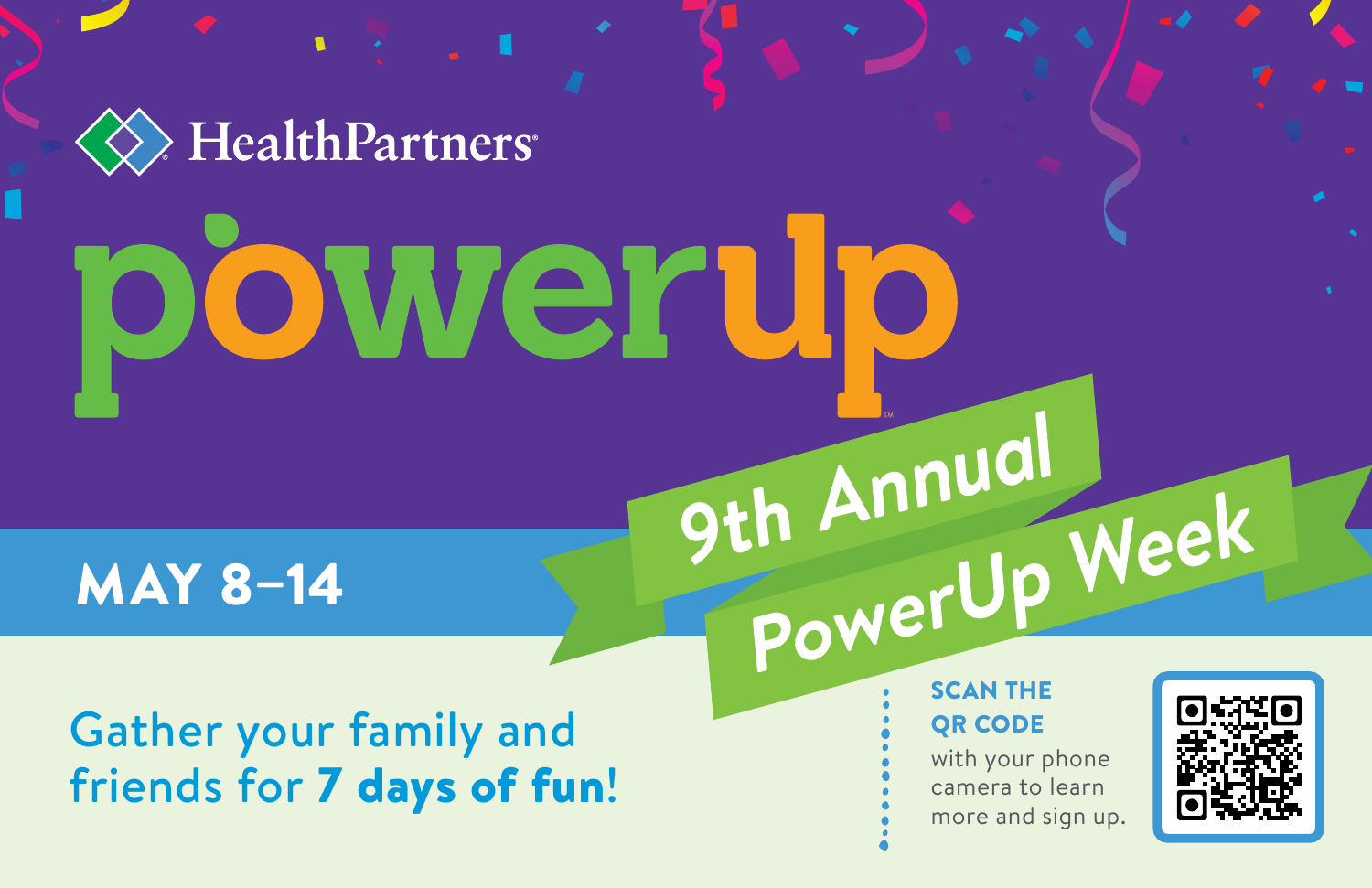HealthPartners<sup>®</sup> weru

MAY 8–14

Gather your family and friends for 7 days of fun! OR CODE

**9th Annual** 

with your phone camera to learn more and sign up.

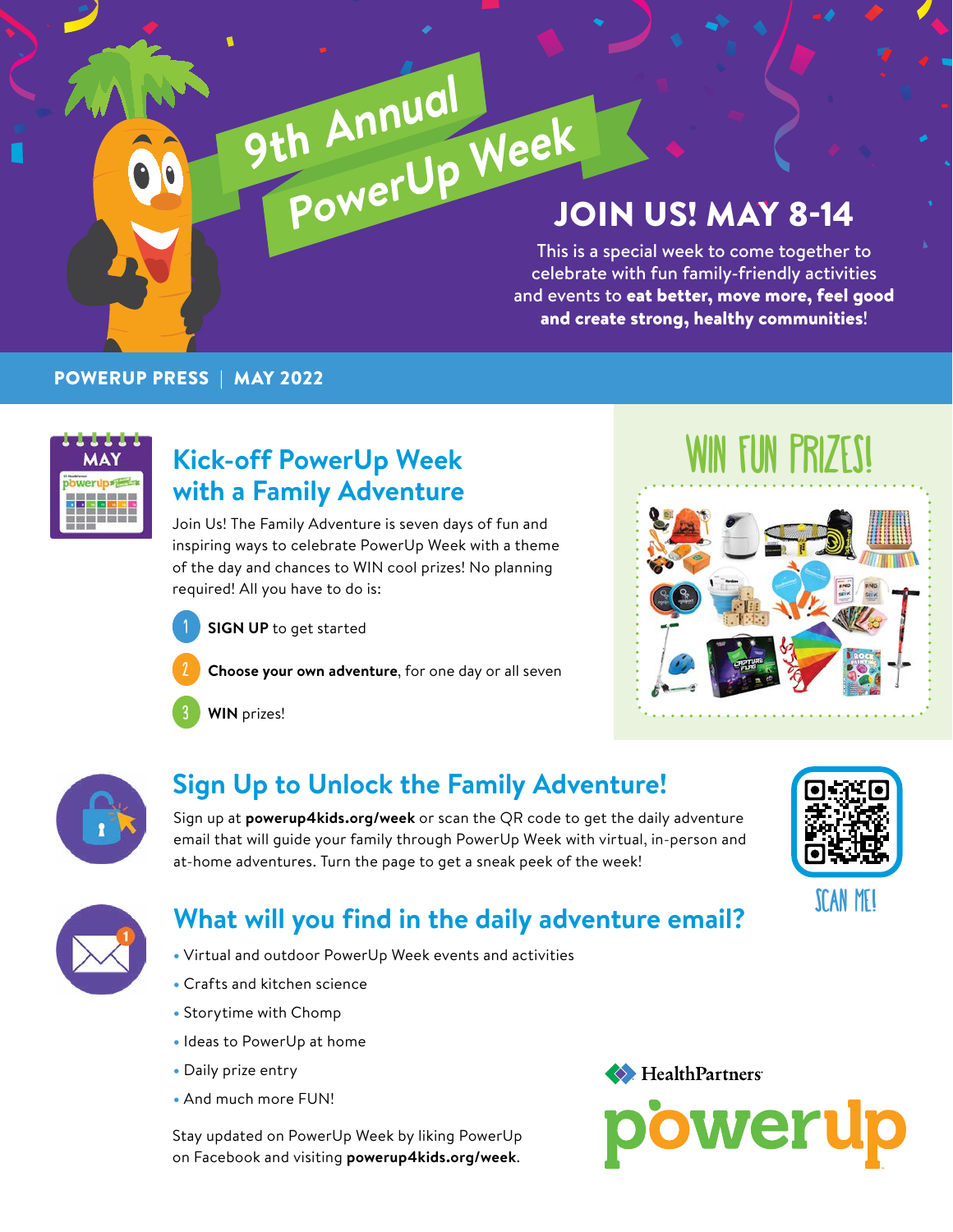# JOIN US! MAY 8-14 9th Annual<br>PowerUp Week

This is a special week to come together to celebrate with fun family-friendly activities and events to eat better, move more, feel good and create strong, healthy communities!

#### POWERUP PRESS | MAY 2022



#### **Kick-off PowerUp Week with a Family Adventure**

Join Us! The Family Adventure is seven days of fun and inspiring ways to celebrate PowerUp Week with a theme of the day and chances to WIN cool prizes! No planning required! All you have to do is:



**SIGN UP** to get started



**Choose your own adventure**, for one day or all seven

3 **WIN** prizes!

## WIN FUN PRIZES!





#### **Sign Up to Unlock the Family Adventure!**

Sign up at **powerup4kids.org/week** or scan the QR code to get the daily adventure email that will guide your family through PowerUp Week with virtual, in-person and at-home adventures. Turn the page to get a sneak peek of the week!





#### **What will you find in the daily adventure email?**

- Virtual and outdoor PowerUp Week events and activities
- Crafts and kitchen science
- Storytime with Chomp
- Ideas to PowerUp at home
- Daily prize entry
- And much more FUN!

Stay updated on PowerUp Week by liking PowerUp on Facebook and visiting **<powerup4kids.org/week>**.

HealthPartners

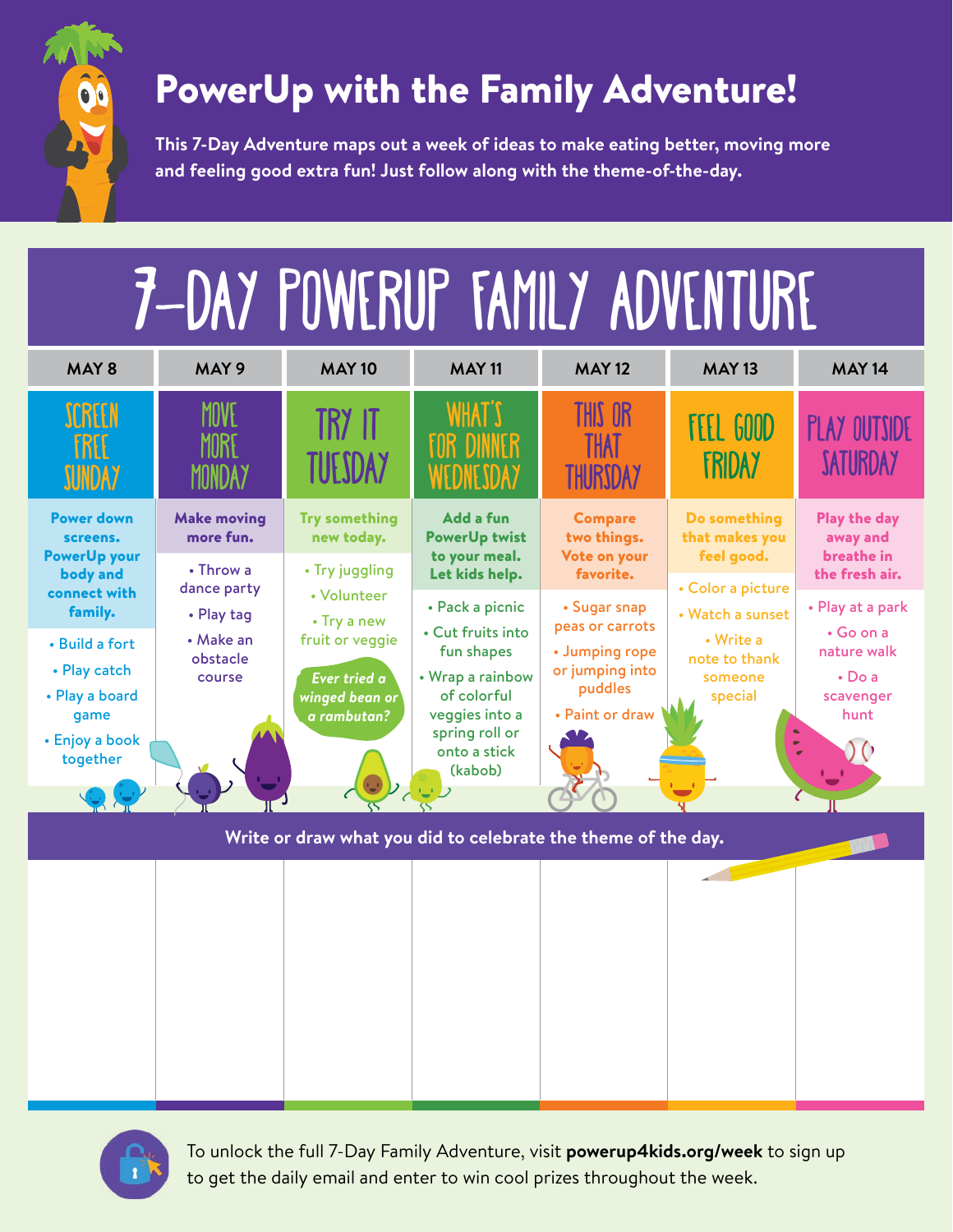

### PowerUp with the Family Adventure!

**This 7-Day Adventure maps out a week of ideas to make eating better, moving more and feeling good extra fun! Just follow along with the theme-of-the-day.**





To unlock the full 7-Day Family Adventure, visit **<powerup4kids.org/week>** to sign up to get the daily email and enter to win cool prizes throughout the week.